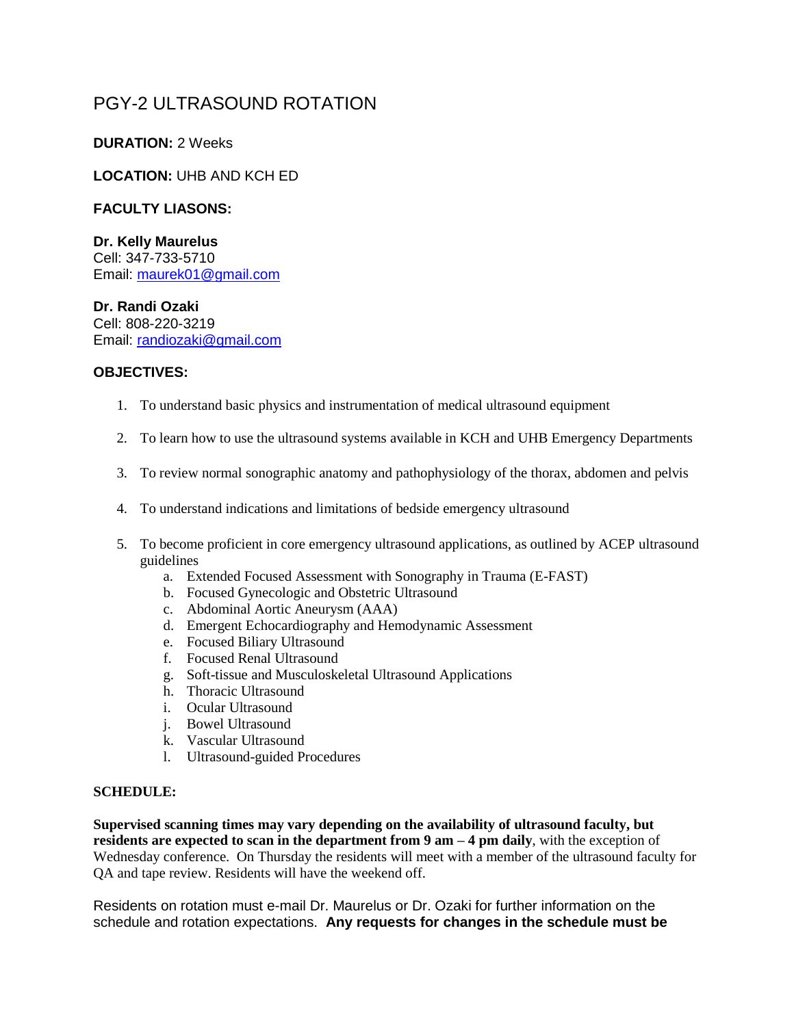# PGY-2 ULTRASOUND ROTATION

## **DURATION:** 2 Weeks

## **LOCATION:** UHB AND KCH ED

## **FACULTY LIASONS:**

#### **Dr. Kelly Maurelus**

Cell: 347-733-5710 Email: [maurek01@gmail.com](mailto:maurek01@gmail.com)

#### **Dr. Randi Ozaki**

Cell: 808-220-3219 Email: [randiozaki@gmail.com](mailto:randiozaki@gmail.com)

#### **OBJECTIVES:**

- 1. To understand basic physics and instrumentation of medical ultrasound equipment
- 2. To learn how to use the ultrasound systems available in KCH and UHB Emergency Departments
- 3. To review normal sonographic anatomy and pathophysiology of the thorax, abdomen and pelvis
- 4. To understand indications and limitations of bedside emergency ultrasound
- 5. To become proficient in core emergency ultrasound applications, as outlined by ACEP ultrasound guidelines
	- a. Extended Focused Assessment with Sonography in Trauma (E-FAST)
	- b. Focused Gynecologic and Obstetric Ultrasound
	- c. Abdominal Aortic Aneurysm (AAA)
	- d. Emergent Echocardiography and Hemodynamic Assessment
	- e. Focused Biliary Ultrasound
	- f. Focused Renal Ultrasound
	- g. Soft-tissue and Musculoskeletal Ultrasound Applications
	- h. Thoracic Ultrasound
	- i. Ocular Ultrasound
	- j. Bowel Ultrasound
	- k. Vascular Ultrasound
	- l. Ultrasound-guided Procedures

#### **SCHEDULE:**

**Supervised scanning times may vary depending on the availability of ultrasound faculty, but residents are expected to scan in the department from 9 am – 4 pm daily**, with the exception of Wednesday conference. On Thursday the residents will meet with a member of the ultrasound faculty for QA and tape review. Residents will have the weekend off.

Residents on rotation must e-mail Dr. Maurelus or Dr. Ozaki for further information on the schedule and rotation expectations. **Any requests for changes in the schedule must be**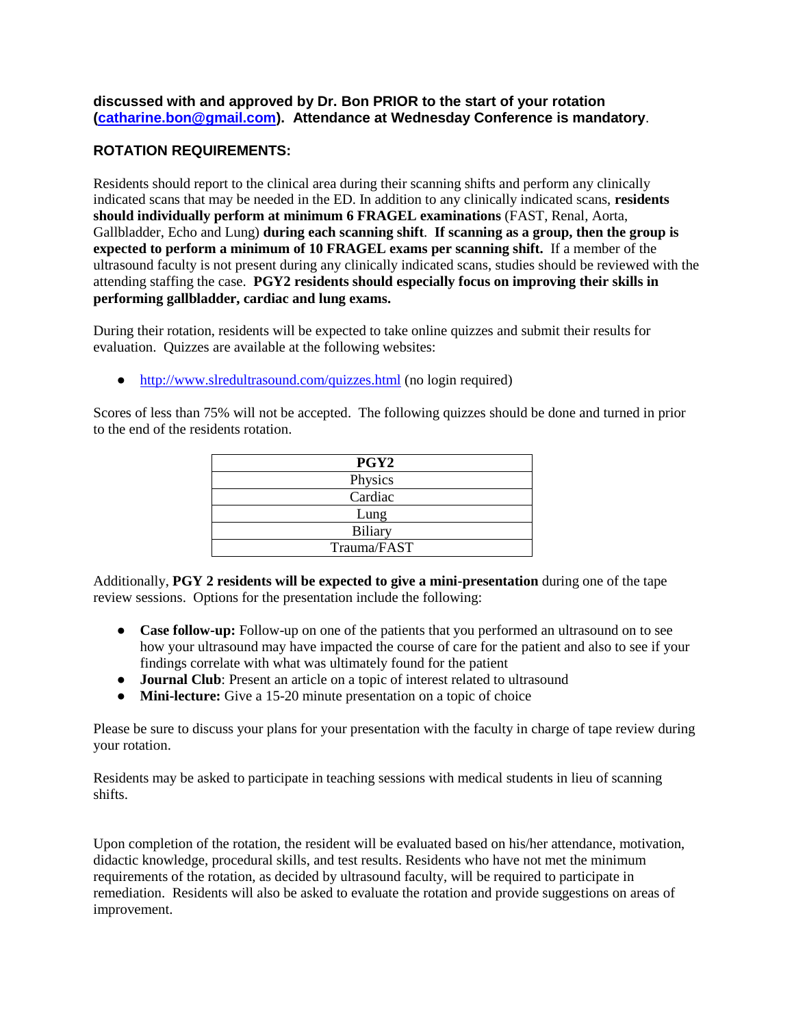**discussed with and approved by Dr. Bon PRIOR to the start of your rotation [\(catharine.bon@gmail.com\)](mailto:catharine.bon@gmail.com). Attendance at Wednesday Conference is mandatory**.

# **ROTATION REQUIREMENTS:**

Residents should report to the clinical area during their scanning shifts and perform any clinically indicated scans that may be needed in the ED. In addition to any clinically indicated scans, **residents should individually perform at minimum 6 FRAGEL examinations** (FAST, Renal, Aorta, Gallbladder, Echo and Lung) **during each scanning shift**. **If scanning as a group, then the group is expected to perform a minimum of 10 FRAGEL exams per scanning shift.** If a member of the ultrasound faculty is not present during any clinically indicated scans, studies should be reviewed with the attending staffing the case. **PGY2 residents should especially focus on improving their skills in performing gallbladder, cardiac and lung exams.**

During their rotation, residents will be expected to take online quizzes and submit their results for evaluation. Quizzes are available at the following websites:

• <http://www.slredultrasound.com/quizzes.html> (no login required)

Scores of less than 75% will not be accepted. The following quizzes should be done and turned in prior to the end of the residents rotation.

| PGY <sub>2</sub> |
|------------------|
| Physics          |
| Cardiac          |
| Lung             |
| <b>Biliary</b>   |
| Trauma/FAST      |

Additionally, **PGY 2 residents will be expected to give a mini-presentation** during one of the tape review sessions. Options for the presentation include the following:

- **Case follow-up:** Follow-up on one of the patients that you performed an ultrasound on to see how your ultrasound may have impacted the course of care for the patient and also to see if your findings correlate with what was ultimately found for the patient
- **Journal Club**: Present an article on a topic of interest related to ultrasound
- **Mini-lecture:** Give a 15-20 minute presentation on a topic of choice

Please be sure to discuss your plans for your presentation with the faculty in charge of tape review during your rotation.

Residents may be asked to participate in teaching sessions with medical students in lieu of scanning shifts.

Upon completion of the rotation, the resident will be evaluated based on his/her attendance, motivation, didactic knowledge, procedural skills, and test results. Residents who have not met the minimum requirements of the rotation, as decided by ultrasound faculty, will be required to participate in remediation. Residents will also be asked to evaluate the rotation and provide suggestions on areas of improvement.